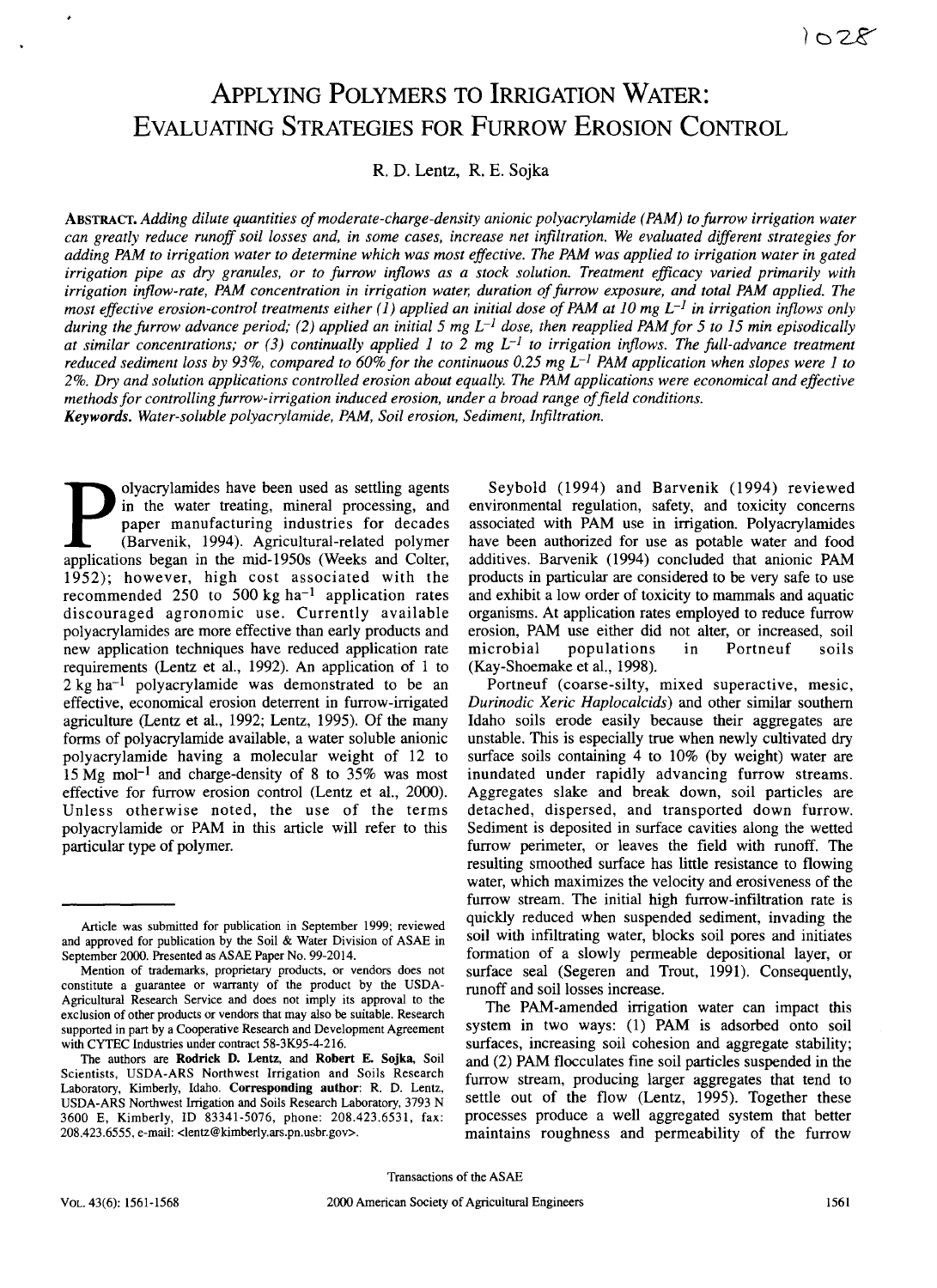# APPLYING POLYMERS TO IRRIGATION WATER: EVALUATING STRATEGIES FOR FURROW EROSION CONTROL

R. D. Lentz, R. E. Sojka

ABSTRACT. *Adding dilute quantities of moderate-charge-density anionic polyacrylamide (PAM) to furrow irrigation water can greatly reduce runoff soil losses and, in some cases, increase net infiltration. We evaluated different strategies for adding PAM to irrigation water to determine which was most effective. The PAM was applied to irrigation water in gated irrigation pipe as dry granules, or to furrow inflows as a stock solution. Treatment efficacy varied primarily with irrigation inflow-rate, PAM concentration in irrigation water, duration of furrow exposure, and total PAM applied. The most effective erosion-control treatments either (1) applied an initial dose of PAM at 10 mg L- 1 in irrigation inflows only during the furrow advance period; (2) applied an initial 5 mg L-1 dose, then reapplied PAM for 5 to 15 min episodically at similar concentrations; or (3) continually applied 1 to 2 mg L-1 to irrigation inflows. The full-advance treatment reduced sediment loss by 93%, compared to 60% for the continuous 0.25 mg L- 1 PAM application when slopes were 1 to 2%. Dry and solution applications controlled erosion about equally. The PAM applications were economical and effective methods for controlling furrow-irrigation induced erosion, under a broad range of field conditions. Keywords. Water-soluble polyacrylamide, PAM, Soil erosion, Sediment, Infiltration.*

product of the matter treating, mineral processing, and paper manufacturing industries for decades (Barvenik, 1994). Agricultural-related polymer applications began in the mid-1950s (Weeks and Colter olyacrylamides have been used as settling agents in the water treating, mineral processing, and paper manufacturing industries for decades (Barvenik, 1994). Agricultural-related polymer 1952); however, high cost associated with the recommended 250 to 500 kg ha<sup>-1</sup> application rates discouraged agronomic use. Currently available polyacrylamides are more effective than early products and new application techniques have reduced application rate requirements (Lentz et al., 1992). An application of 1 to  $2 \text{ kg } \text{ha}^{-1}$  polyacrylamide was demonstrated to be an effective, economical erosion deterrent in furrow-irrigated agriculture (Lentz et al., 1992; Lentz, 1995). Of the many forms of polyacrylamide available, a water soluble anionic polyacrylamide having a molecular weight of 12 to 15 Mg mol<sup>-1</sup> and charge-density of 8 to 35% was most effective for furrow erosion control (Lentz et al., 2000). Unless otherwise noted, the use of the terms polyacrylamide or PAM in this article will refer to this particular type of polymer.

Seybold (1994) and Barvenik (1994) reviewed environmental regulation, safety, and toxicity concerns associated with PAM use in irrigation. Polyacrylamides have been authorized for use as potable water and food additives. Barvenik (1994) concluded that anionic PAM products in particular are considered to be very safe to use and exhibit a low order of toxicity to mammals and aquatic organisms. At application rates employed to reduce furrow erosion, PAM use either did not alter, or increased, soil microbial populations in Portneuf soils (Kay-Shoemake et al., 1998).

Portneuf (coarse-silty, mixed superactive, mesic, *Durinodic Xeric Haplocalcids)* and other similar southern Idaho soils erode easily because their aggregates are unstable. This is especially true when newly cultivated dry surface soils containing 4 to 10% (by weight) water are inundated under rapidly advancing furrow streams. Aggregates slake and break down, soil particles are detached, dispersed, and transported down furrow. Sediment is deposited in surface cavities along the wetted furrow perimeter, or leaves the field with runoff. The resulting smoothed surface has little resistance to flowing water, which maximizes the velocity and erosiveness of the furrow stream. The initial high furrow-infiltration rate is quickly reduced when suspended sediment, invading the soil with infiltrating water, blocks soil pores and initiates formation of a slowly permeable depositional layer, or surface seal (Segeren and Trout, 1991). Consequently, runoff and soil losses increase.

The PAM-amended irrigation water can impact this system in two ways: (1) PAM is adsorbed onto soil surfaces, increasing soil cohesion and aggregate stability; and (2) PAM flocculates fine soil particles suspended in the furrow stream, producing larger aggregates that tend to settle out of the flow (Lentz, 1995). Together these processes produce a well aggregated system that better maintains roughness and permeability of the furrow

Article was submitted for publication in September 1999; reviewed and approved for publication by the Soil *&* Water Division of ASAE in September 2000. Presented as ASAE Paper No. 99-2014.

Mention of trademarks, proprietary products, or vendors does not constitute a guarantee or warranty of the product by the USDA-Agricultural Research Service and does not imply its approval to the exclusion of other products or vendors that may also be suitable. Research supported in part by a Cooperative Research and Development Agreement with CYTEC Industries under contract 58-3K95-4-216.

The authors are **Rodrick D. Lentz,** and **Robert E. Sojka, Soil** Scientists, USDA-ARS Northwest Irrigation and Soils Research Laboratory, Kimberly, Idaho. **Corresponding author:** R. D. Lentz, USDA-ARS Northwest Irrigation and Soils Research Laboratory, 3793 N 3600 E, Kimberly, ID 83341-5076, phone: 208.423.6531, fax: 208.423.6555, e-mail: <lentz@kimberly.ars.pn.usbr.gov >.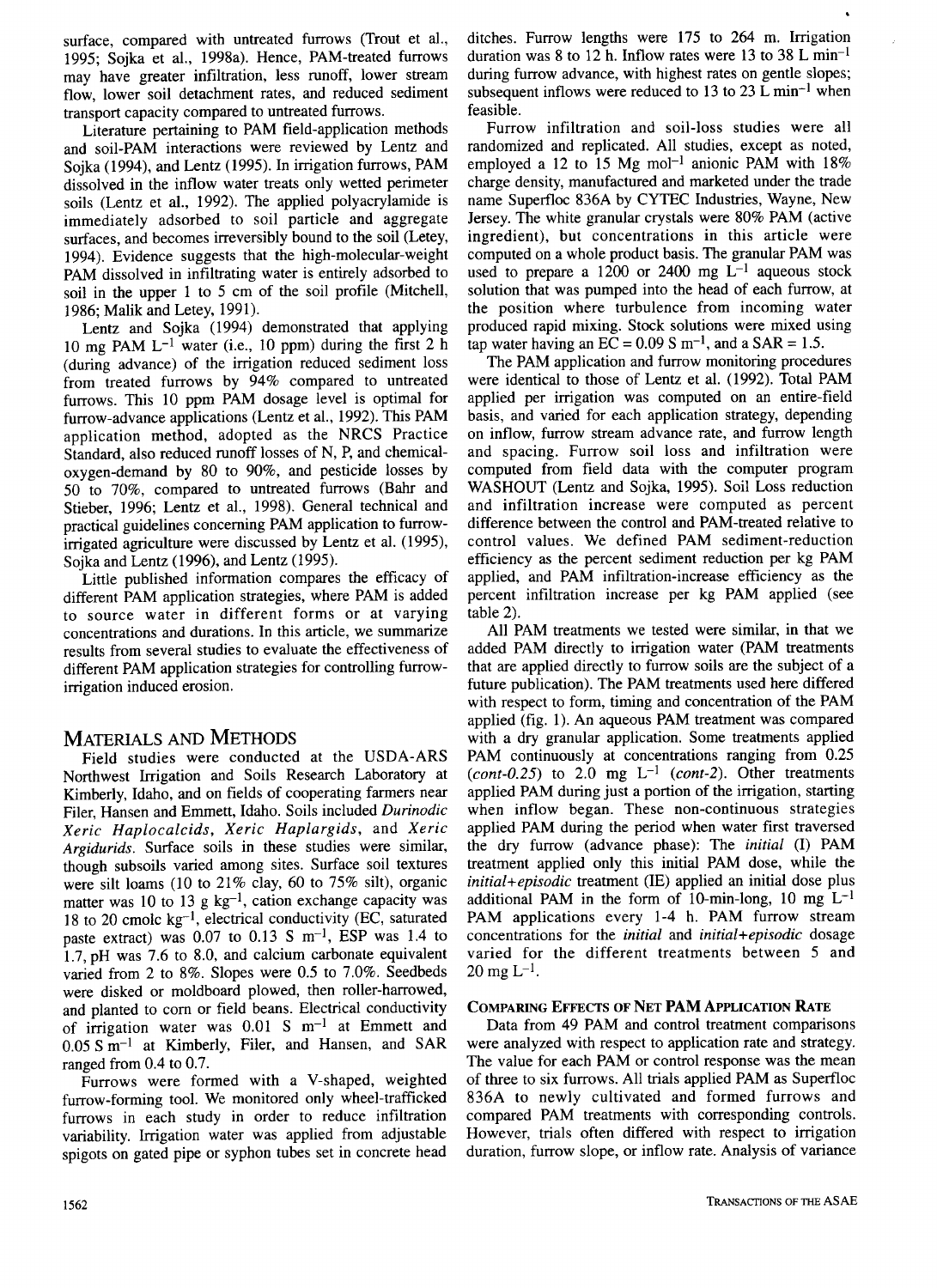surface, compared with untreated furrows (Trout et al., 1995; Sojka et al., 1998a). Hence, PAM-treated furrows may have greater infiltration, less runoff, lower stream flow, lower soil detachment rates, and reduced sediment transport capacity compared to untreated furrows.

Literature pertaining to PAM field-application methods and soil-PAM interactions were reviewed by Lentz and Sojka (1994), and Lentz (1995). In irrigation furrows, PAM dissolved in the inflow water treats only wetted perimeter soils (Lentz et al., 1992). The applied polyacrylamide is immediately adsorbed to soil particle and aggregate surfaces, and becomes irreversibly bound to the soil (Letey, 1994). Evidence suggests that the high-molecular-weight PAM dissolved in infiltrating water is entirely adsorbed to soil in the upper 1 to 5 cm of the soil profile (Mitchell, 1986; Malik and Letey, 1991).

Lentz and Sojka (1994) demonstrated that applying 10 mg PAM  $L^{-1}$  water (i.e., 10 ppm) during the first 2 h (during advance) of the irrigation reduced sediment loss from treated furrows by 94% compared to untreated furrows. This 10 ppm PAM dosage level is optimal for furrow-advance applications (Lentz et al., 1992). This PAM application method, adopted as the NRCS Practice Standard, also reduced runoff losses of N, P, and chemicaloxygen-demand by 80 to 90%, and pesticide losses by 50 to 70%, compared to untreated furrows (Bahr and Stieber, 1996; Lentz et al., 1998). General technical and practical guidelines concerning PAM application to furrowirrigated agriculture were discussed by Lentz et al. (1995), Sojka and Lentz (1996), and Lentz (1995).

Little published information compares the efficacy of different PAM application strategies, where PAM is added to source water in different forms or at varying concentrations and durations. In this article, we summarize results from several studies to evaluate the effectiveness of different PAM application strategies for controlling furrowirrigation induced erosion.

# MATERIALS AND METHODS

Field studies were conducted at the USDA-ARS Northwest Irrigation and Soils Research Laboratory at Kimberly, Idaho, and on fields of cooperating farmers near Filer, Hansen and Emmett, Idaho. Soils included *Durinodic Xeric Haplocalcids, Xeric Haplargids,* and *Xeric Argidurids.* Surface soils in these studies were similar, though subsoils varied among sites. Surface soil textures were silt loams (10 to 21% clay, 60 to 75% silt), organic matter was 10 to 13 g  $kg^{-1}$ , cation exchange capacity was 18 to 20 cmolc  $kg^{-1}$ , electrical conductivity (EC, saturated paste extract) was 0.07 to 0.13 S  $m^{-1}$ , ESP was 1.4 to 1.7, pH was 7.6 to 8.0, and calcium carbonate equivalent varied from 2 to 8%. Slopes were 0.5 to 7.0%. Seedbeds were disked or moldboard plowed, then roller-harrowed, and planted to corn or field beans. Electrical conductivity of irrigation water was  $0.01$  S m<sup>-1</sup> at Emmett and  $0.05 S m^{-1}$  at Kimberly, Filer, and Hansen, and SAR ranged from 0.4 to 0.7.

Furrows were formed with a V-shaped, weighted furrow-forming tool. We monitored only wheel-trafficked furrows in each study in order to reduce infiltration variability. Irrigation water was applied from adjustable spigots on gated pipe or syphon tubes set in concrete head

ditches. Furrow lengths were 175 to 264 m. Irrigation duration was 8 to 12 h. Inflow rates were 13 to 38 L min<sup>-1</sup> during furrow advance, with highest rates on gentle slopes; subsequent inflows were reduced to 13 to 23 L min<sup>-1</sup> when feasible.

Furrow infiltration and soil-loss studies were all randomized and replicated. All studies, except as noted, employed a 12 to 15 Mg mol<sup>-1</sup> anionic PAM with  $18\%$ charge density, manufactured and marketed under the trade name Superfloc 836A by CYTEC Industries, Wayne, New Jersey. The white granular crystals were 80% PAM (active ingredient), but concentrations in this article were computed on a whole product basis. The granular PAM was used to prepare a 1200 or 2400 mg  $L^{-1}$  aqueous stock solution that was pumped into the head of each furrow, at the position where turbulence from incoming water produced rapid mixing. Stock solutions were mixed using tap water having an  $\overline{EC} = 0.09$  S m<sup>-1</sup>, and a SAR = 1.5.

The PAM application and furrow monitoring procedures were identical to those of Lentz et al. (1992). Total PAM applied per irrigation was computed on an entire-field basis, and varied for each application strategy, depending on inflow, furrow stream advance rate, and furrow length and spacing. Furrow soil loss and infiltration were computed from field data with the computer program WASHOUT (Lentz and Sojka, 1995). Soil Loss reduction and infiltration increase were computed as percent difference between the control and PAM-treated relative to control values. We defined PAM sediment-reduction efficiency as the percent sediment reduction per kg PAM applied, and PAM infiltration-increase efficiency as the percent infiltration increase per kg PAM applied (see table 2).

All PAM treatments we tested were similar, in that we added PAM directly to irrigation water (PAM treatments that are applied directly to furrow soils are the subject of a future publication). The PAM treatments used here differed with respect to form, timing and concentration of the PAM applied (fig. 1). An aqueous PAM treatment was compared with a dry granular application. Some treatments applied PAM continuously at concentrations ranging from 0.25  $(cont-0.25)$  to  $2.0$  mg  $L^{-1}$  *(cont-2).* Other treatments applied PAM during just a portion of the irrigation, starting when inflow began. These non-continuous strategies applied PAM during the period when water first traversed the dry furrow (advance phase): The *initial* (I) PAM treatment applied only this initial PAM dose, while the *initial+episodic* treatment (IE) applied an initial dose plus additional PAM in the form of 10-min-long, 10 mg  $L^{-1}$ PAM applications every 1-4 h. PAM furrow stream concentrations for the *initial* and *initial+episodic* dosage varied for the different treatments between 5 and  $20 \text{ mg } L^{-1}$ .

## **COMPARING EFFECTS OF NET PAM APPLICATION RATE**

Data from 49 PAM and control treatment comparisons were analyzed with respect to application rate and strategy. The value for each PAM or control response was the mean of three to six furrows. All trials applied PAM as Superfloc 836A to newly cultivated and formed furrows and compared PAM treatments with corresponding controls. However, trials often differed with respect to irrigation duration, furrow slope, or inflow rate. Analysis of variance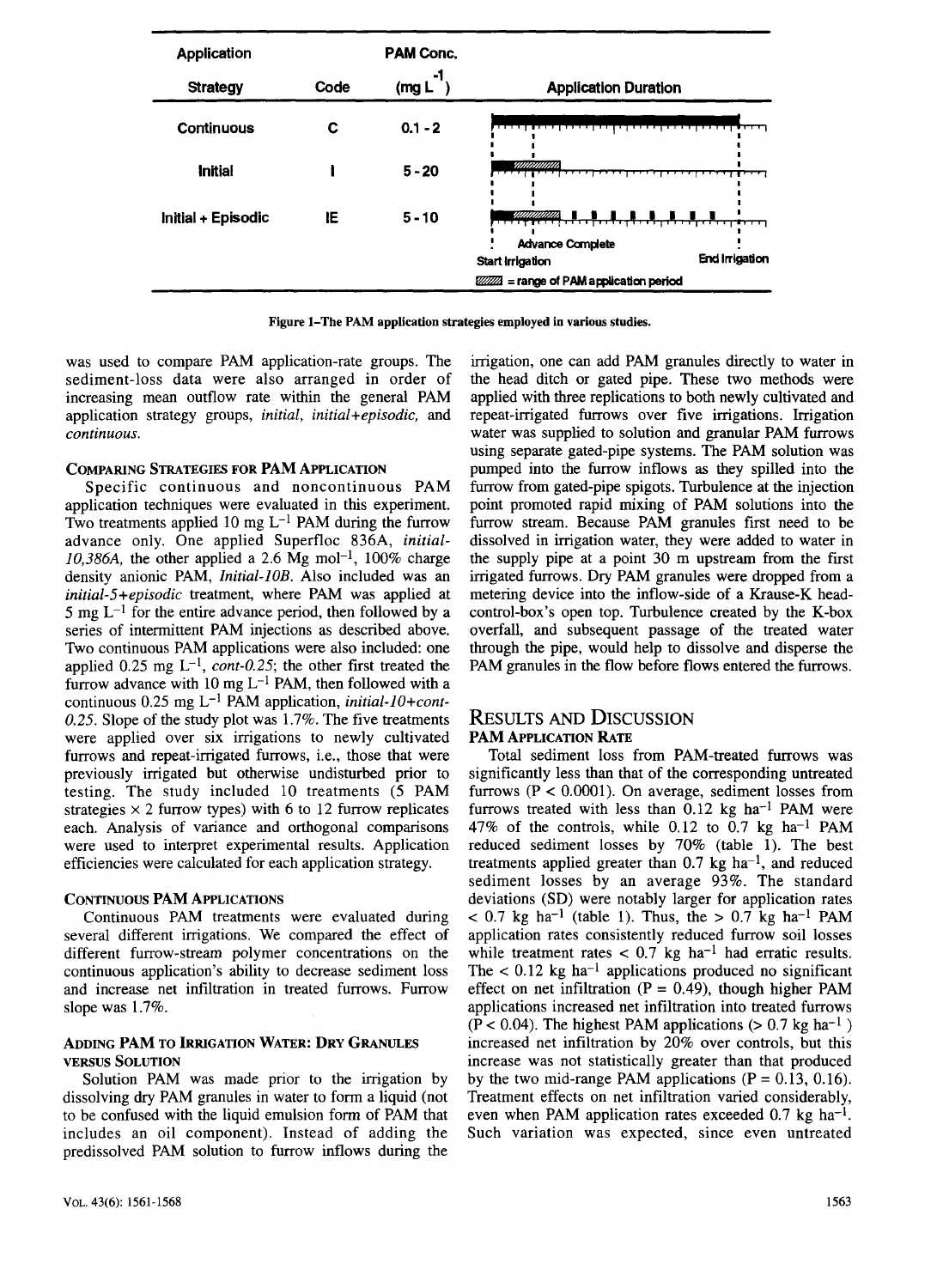| <b>Application</b> |      | <b>PAM Conc.</b>         |                                                                      |
|--------------------|------|--------------------------|----------------------------------------------------------------------|
| <b>Strategy</b>    | Code | -1<br>(mg <sub>L</sub> ) | <b>Application Duration</b>                                          |
| <b>Continuous</b>  | с    | $0.1 - 2$                |                                                                      |
| <b>Initial</b>     |      | $5 - 20$                 | <i>vanamana</i>                                                      |
| Initial + Episodic | IE   | $5 - 10$                 | <b>Advance Complete</b><br><b>End Irrigation</b><br>Start Irrigation |
|                    |      |                          | $ZZZZ$ = range of PAM application period                             |

**Figure 1–The PAM application strategies employed in various studies.**

was used to compare PAM application-rate groups. The sediment-loss data were also arranged in order of increasing mean outflow rate within the general PAM application strategy groups, *initial, initial+episodic,* and *continuous.*

#### **COMPARING STRATEGIES FOR PAM APPLICATION**

Specific continuous and noncontinuous PAM application techniques were evaluated in this experiment. Two treatments applied 10 mg  $L^{-1}$  PAM during the furrow advance only. One applied Superfloc 836A, *initial-* $10,386A$ , the other applied a 2.6 Mg mol<sup>-1</sup>, 100% charge density anionic PAM, *Initial-10B.* Also included was an *initial-5+episodic* treatment, where PAM was applied at 5 mg  $L^{-1}$  for the entire advance period, then followed by a series of intermittent PAM injections as described above. Two continuous PAM applications were also included: one applied  $0.25$  mg  $L^{-1}$ , *cont-0.25*; the other first treated the furrow advance with 10 mg  $L^{-1}$  PAM, then followed with a continuous  $0.25$  mg L<sup>-1</sup> PAM application, *initial-10+cont-0.25.* Slope of the study plot was 1.7%. The five treatments were applied over six irrigations to newly cultivated furrows and repeat-irrigated furrows, i.e., those that were previously irrigated but otherwise undisturbed prior to testing. The study included 10 treatments (5 PAM strategies  $\times$  2 furrow types) with 6 to 12 furrow replicates each. Analysis of variance and orthogonal comparisons were used to interpret experimental results. Application efficiencies were calculated for each application strategy.

#### CONTINUOUS PAM APPLICATIONS

Continuous PAM treatments were evaluated during several different irrigations. We compared the effect of different furrow-stream polymer concentrations on the continuous application's ability to decrease sediment loss and increase net infiltration in treated furrows. Furrow slope was 1.7%.

#### **ADDING PAM TO IRRIGATION WATER: DRY GRANULES VERSUS SOLUTION**

Solution PAM was made prior to the irrigation by dissolving dry PAM granules in water to form a liquid (not to be confused with the liquid emulsion form of PAM that includes an oil component). Instead of adding the predissolved PAM solution to furrow inflows during the irrigation, one can add PAM granules directly to water in the head ditch or gated pipe. These two methods were applied with three replications to both newly cultivated and repeat-irrigated furrows over five irrigations. Irrigation water was supplied to solution and granular PAM furrows using separate gated-pipe systems. The PAM solution was pumped into the furrow inflows as they spilled into the furrow from gated-pipe spigots. Turbulence at the injection point promoted rapid mixing of PAM solutions into the furrow stream. Because PAM granules first need to be dissolved in irrigation water, they were added to water in the supply pipe at a point 30 m upstream from the first irrigated furrows. Dry PAM granules were dropped from a metering device into the inflow-side of a Krause-K headcontrol-box's open top. Turbulence created by the K-box overfall, and subsequent passage of the treated water through the pipe, would help to dissolve and disperse the PAM granules in the flow before flows entered the furrows.

## RESULTS AND DISCUSSION **PAM APPLICATION RATE**

Total sediment loss from PAM-treated furrows was significantly less than that of the corresponding untreated furrows  $(P < 0.0001)$ . On average, sediment losses from furrows treated with less than  $0.12$  kg ha<sup>-1</sup> PAM were 47% of the controls, while  $0.12$  to  $0.7$  kg ha<sup>-1</sup> PAM reduced sediment losses by 70% (table 1). The best treatments applied greater than  $0.7 \text{ kg}$  ha<sup>-1</sup>, and reduced sediment losses by an average 93%. The standard deviations (SD) were notably larger for application rates  $< 0.7$  kg ha<sup>-1</sup> (table 1). Thus, the  $> 0.7$  kg ha<sup>-1</sup> PAM application rates consistently reduced furrow soil losses while treatment rates  $< 0.7$  kg ha<sup>-1</sup> had erratic results. The  $< 0.12$  kg ha<sup>-1</sup> applications produced no significant effect on net infiltration ( $P = 0.49$ ), though higher PAM applications increased net infiltration into treated furrows  $(P < 0.04)$ . The highest PAM applications ( $> 0.7$  kg ha<sup>-1</sup>) increased net infiltration by 20% over controls, but this increase was not statistically greater than that produced by the two mid-range PAM applications  $(P = 0.13, 0.16)$ . Treatment effects on net infiltration varied considerably, even when PAM application rates exceeded  $0.7$  kg ha<sup>-1</sup>. Such variation was expected, since even untreated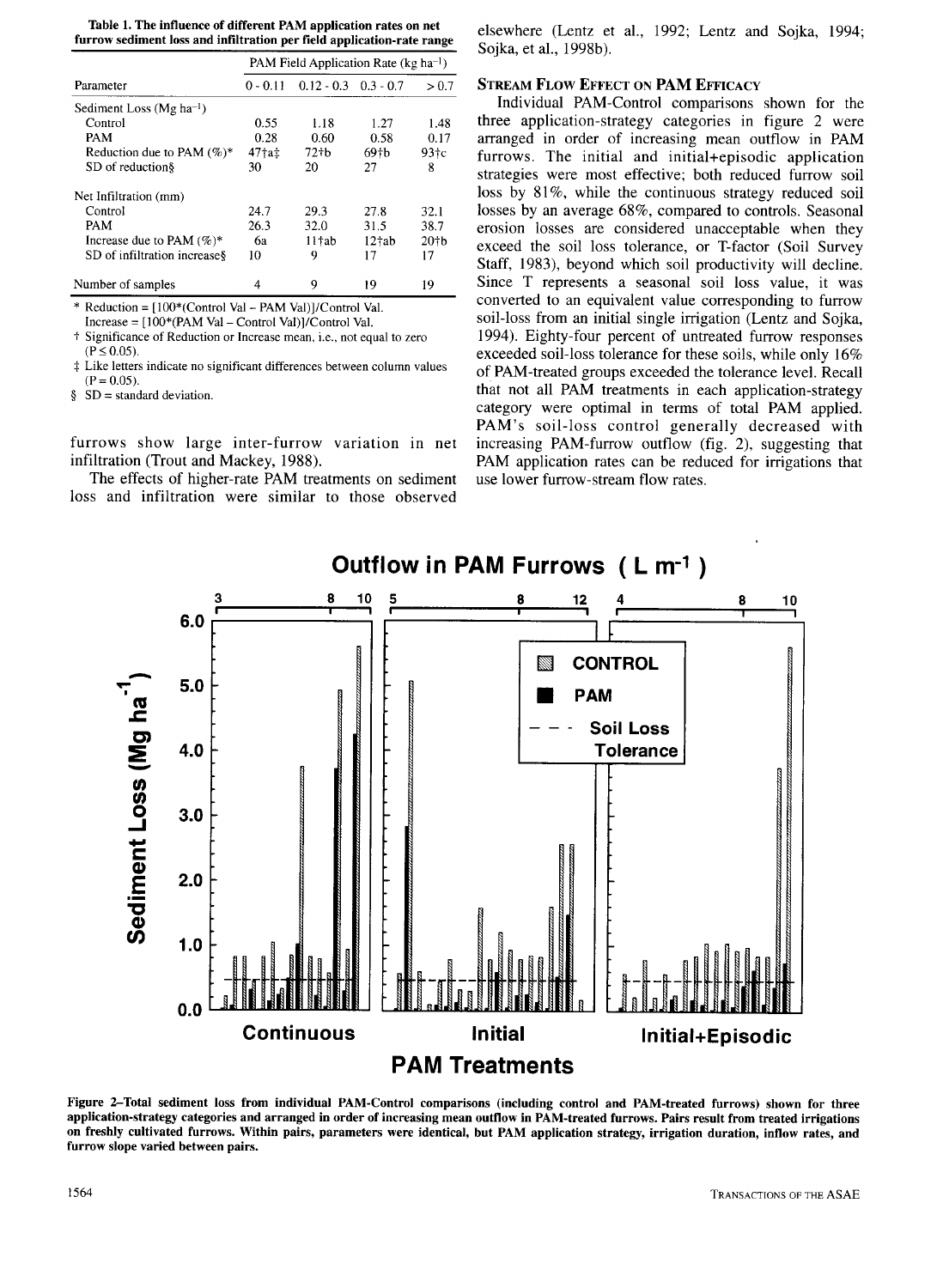**Table 1. The influence of different PAM application rates on net furrow sediment loss and infiltration per field application-rate range**

|                                      | PAM Field Application Rate (kg ha <sup>-1</sup> ) |                          |                    |                   |
|--------------------------------------|---------------------------------------------------|--------------------------|--------------------|-------------------|
| Parameter                            | $0 - 0.11$                                        | $0.12 - 0.3$ $0.3 - 0.7$ |                    | > 0.7             |
| Sediment Loss (Mg ha <sup>-1</sup> ) |                                                   |                          |                    |                   |
| Control                              | 0.55                                              | 1.18                     | 1.27               | 1.48              |
| PAM                                  | 0.28                                              | 0.60                     | 0.58               | 0.17              |
| Reduction due to PAM $(\%)^*$        | 47†a‡                                             | 72 <sub>th</sub>         | 69 <sub>th</sub>   | 93 <sub>tc</sub>  |
| SD of reduction§                     | 30                                                | 20                       | 27                 | 8                 |
| Net Infiltration (mm)                |                                                   |                          |                    |                   |
| Control                              | 24.7                                              | 29.3                     | 27.8               | 32.1              |
| PAM                                  | 26.3                                              | 32.0                     | 31.5               | 38.7              |
| Increase due to PAM $(\%)^*$         | 6а                                                | $11 \text{tab}$          | 12 <sup>†</sup> ab | 20 <sup>†</sup> b |
| SD of infiltration increase §        | 10                                                | 9                        | 17                 | 17                |
| Number of samples                    | 4                                                 | 9                        | 19                 | 19                |

\* Reduction = [100\*(Control Val - PAM Val)]/Control Val.

Increase = [100\*(PAM Val - Control Val)]/Control Val.

t Significance of Reduction or Increase mean, i.e., not equal to zero  $(P \le 0.05)$ .

Like letters indicate no significant differences between column values  $(P = 0.05)$ .

§ SD = standard deviation.

furrows show large inter-furrow variation in net infiltration (Trout and Mackey, 1988).

The effects of higher-rate PAM treatments on sediment loss and infiltration were similar to those observed

elsewhere (Lentz et al., 1992; Lentz and Sojka, 1994; Sojka, et al., 1998b).

#### **STREAM FLOW EFFECT ON PAM EFFICACY**

Individual PAM-Control comparisons shown for the three application-strategy categories in figure 2 were arranged in order of increasing mean outflow in PAM furrows. The initial and initial+episodic application strategies were most effective; both reduced furrow soil loss by 81%, while the continuous strategy reduced soil losses by an average 68%, compared to controls. Seasonal erosion losses are considered unacceptable when they exceed the soil loss tolerance, or T-factor (Soil Survey Staff, 1983), beyond which soil productivity will decline. Since T represents a seasonal soil loss value, it was converted to an equivalent value corresponding to furrow soil-loss from an initial single irrigation (Lentz and Sojka, 1994). Eighty-four percent of untreated furrow responses exceeded soil-loss tolerance for these soils, while only 16% of PAM-treated groups exceeded the tolerance level. Recall that not all PAM treatments in each application-strategy category were optimal in terms of total PAM applied. PAM's soil-loss control generally decreased with increasing PAM-furrow outflow (fig. 2), suggesting that PAM application rates can be reduced for irrigations that use lower furrow-stream flow rates.



**Figure 2-Total sediment loss from individual PAM-Control comparisons (including control and PAM-treated furrows) shown for three application-strategy categories and arranged in order of increasing mean outflow in PAM-treated furrows. Pairs result from treated irrigations on freshly cultivated furrows. Within pairs, parameters were identical, but PAM application strategy, irrigation duration, inflow rates, and furrow slope varied between pairs.**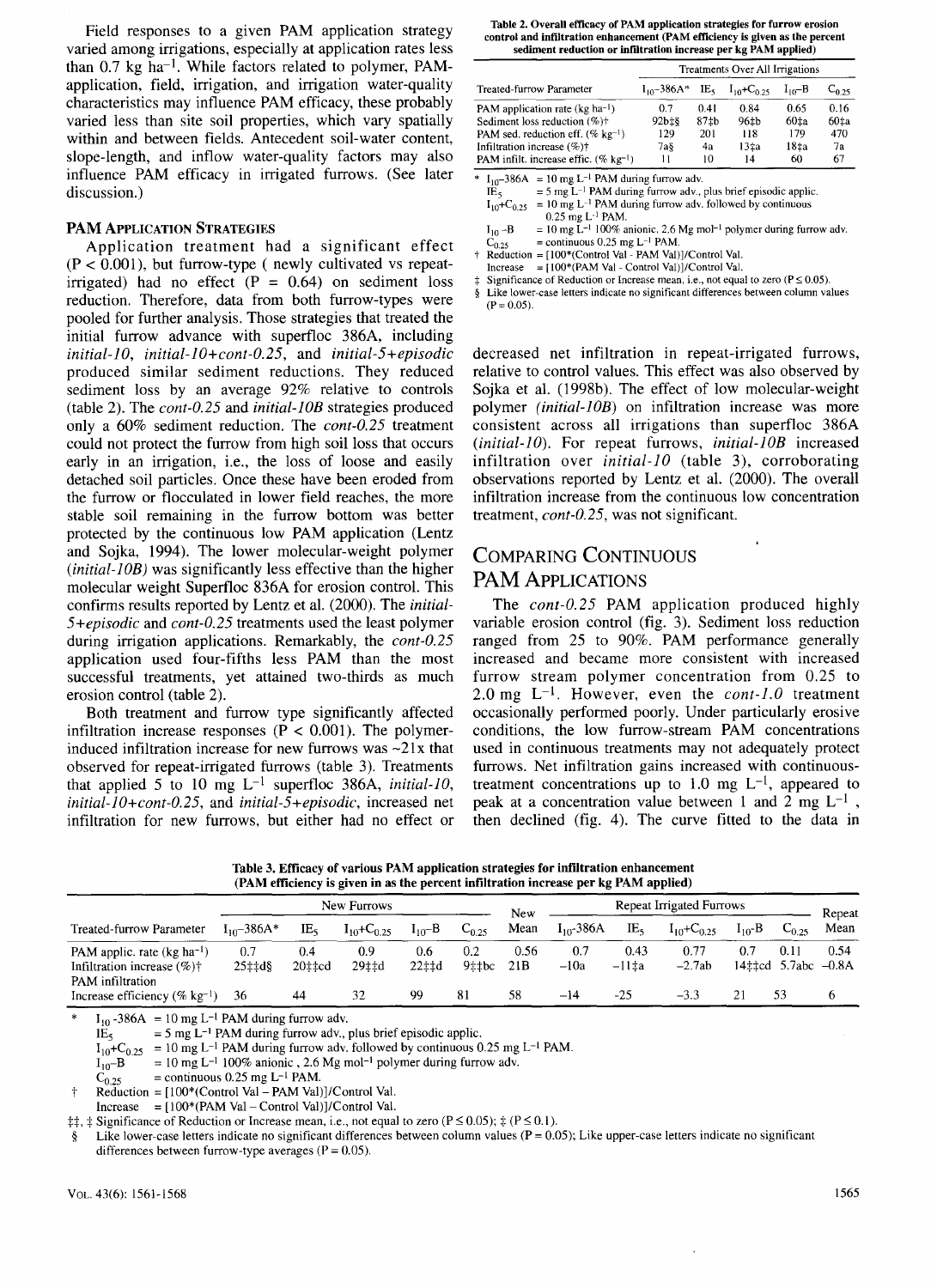Field responses to a given PAM application strategy varied among irrigations, especially at application rates less than  $0.7$  kg ha<sup>-1</sup>. While factors related to polymer, PAMapplication, field, irrigation, and irrigation water-quality characteristics may influence PAM efficacy, these probably varied less than site soil properties, which vary spatially within and between fields. Antecedent soil-water content, slope-length, and inflow water-quality factors may also influence PAM efficacy in irrigated furrows. (See later discussion.)

#### **PAM APPLICATION STRATEGIES**

Application treatment had a significant effect  $(P < 0.001)$ , but furrow-type (newly cultivated vs repeatirrigated) had no effect  $(P = 0.64)$  on sediment loss reduction. Therefore, data from both furrow-types were pooled for further analysis. Those strategies that treated the initial furrow advance with superfloc 386A, including *initial-10, initial-10+cont-0.25,* and *initial-5+episodic* produced similar sediment reductions. They reduced sediment loss by an average 92% relative to controls (table 2). The *cont-0.25* and *initial-10B* strategies produced only a 60% sediment reduction. The *cont-0.25* treatment could not protect the furrow from high soil loss that occurs early in an irrigation, i.e., the loss of loose and easily detached soil particles. Once these have been eroded from the furrow or flocculated in lower field reaches, the more stable soil remaining in the furrow bottom was better protected by the continuous low PAM application (Lentz and Sojka, 1994). The lower molecular-weight polymer *(initial-10B)* was significantly less effective than the higher molecular weight Superfloc 836A for erosion control. This confirms results reported by Lentz et al. (2000). The *initial-5+episodic* and *cont-0.25* treatments used the least polymer during irrigation applications. Remarkably, the *cont-0.25* application used four-fifths less PAM than the most successful treatments, yet attained two-thirds as much erosion control (table 2).

Both treatment and furrow type significantly affected infiltration increase responses ( $P < 0.001$ ). The polymerinduced infiltration increase for new furrows was  $\sim$ 21x that observed for repeat-irrigated furrows (table 3). Treatments that applied 5 to 10 mg  $L^{-1}$  superfloc 386A, *initial-10*, *initial-10+cont-0.25,* and *initial-5+episodic,* increased net infiltration for new furrows, but either had no effect or

**Table** 2. **Overall** efficacy of PAM application strategies for furrow erosion **control** and infiltration enhancement (PAM efficiency is given as the percent **sediment reduction or infiltration increase per kg PAM applied)**

|                                                      | Treatments Over All Irrigations |      |                                             |                  |            |  |  |
|------------------------------------------------------|---------------------------------|------|---------------------------------------------|------------------|------------|--|--|
| Treated-furrow Parameter                             | $I_{10}$ – 386A*                |      | IE <sub>5</sub> $I_{10}$ +C <sub>0.25</sub> | $I_{10} - B$     | $C_{0.25}$ |  |  |
| PAM application rate ( $kg \text{ ha}^{-1}$ )        | 0.7                             | 0.41 | 0.84                                        | 0.65             | 0.16       |  |  |
| Sediment loss reduction $(\%)$ <sup>+</sup>          | $92b \pm 8$                     | 87th | 96 <sub>th</sub>                            | 60 <sub>1a</sub> | 60‡a       |  |  |
| PAM sed. reduction eff. $(\% \ \text{kg}^{-1})$      | 129                             | 201  | 118                                         | 179              | 470        |  |  |
| Infiltration increase $(\%)\dagger$                  | 7а§                             | 4a   | 13±a                                        | 18 <sub>1a</sub> | 7a         |  |  |
| PAM infilt. increase effic. $(\%$ kg <sup>-1</sup> ) | 11                              | 10   | 14                                          | 60               | 67         |  |  |

 $\overline{\text{I}_{10}$ -386A = 10 mg L<sup>-1</sup> PAM during furrow adv.

|            | $L_1$ $\sim$ - $500$ $\sim$ $ 10$ $\mu$ g $\sim$ $ 1$ $\sim$ $\mu$ $\mu$ $\mu$ $\mu$ $\mu$ $\mu$ $\mu$ $\mu$ $\mu$ $\mu$ $\mu$ |
|------------|--------------------------------------------------------------------------------------------------------------------------------|
| $IE_{\le}$ | $=$ 5 mg L <sup>-1</sup> PAM during furrow adv., plus brief episodic applic.                                                   |
|            | $I_{10}$ +C <sub>0.25</sub> = 10 mg L <sup>-1</sup> PAM during furrow adv. followed by continuous                              |
|            | $0.25$ mg L <sup>-1</sup> PAM.                                                                                                 |

0.25 mg L<sup>-1</sup> PAM.<br> $I_{10}$ -B = 10 mg L<sup>-1</sup> 100% anionic, 2.6 Mg mol<sup>-1</sup> polymer during furrow adv

 $C_{0.25}$  = continuous 0.25 mg L<sup>-1</sup> PAM.<br>† Reduction = [100\*(Control Val - PAM Val)]/Control Val.

Increase =  $[100*(PAM Val - Control Val)]/Control Val$ 

Significance of Reduction or Increase mean, i.e., not equal to zero ( $P \le 0.05$ ).

§ Like lower-case letters indicate no significant differences between column values  $(P = 0.05)$ .

decreased net infiltration in repeat-irrigated furrows, relative to control values. This effect was also observed by Sojka et al. (1998b). The effect of low molecular-weight polymer *(initial-10B)* on infiltration increase was more consistent across all irrigations than superfloc 386A *(initial-10).* For repeat furrows, *initial-JOB* increased infiltration over *initial-10* (table 3), corroborating observations reported by Lentz et al. (2000). The overall infiltration increase from the continuous low concentration treatment, *cont-0.25,* was not significant.

# COMPARING CONTINUOUS PAM APPLICATIONS

The *cont-0.25* PAM application produced highly variable erosion control (fig. 3). Sediment loss reduction ranged from 25 to 90%. PAM performance generally increased and became more consistent with increased furrow stream polymer concentration from 0.25 to 2.0 mg  $L^{-1}$ . However, even the *cont-1.0* treatment occasionally performed poorly. Under particularly erosive conditions, the low furrow-stream PAM concentrations used in continuous treatments may not adequately protect furrows. Net infiltration gains increased with continuoustreatment concentrations up to 1.0 mg  $L^{-1}$ , appeared to peak at a concentration value between 1 and 2 mg  $L^{-1}$ , then declined (fig. 4). The curve fitted to the data in

| Table 3. Efficacy of various PAM application strategies for infiltration enhancement |  |
|--------------------------------------------------------------------------------------|--|
| (PAM efficiency is given in as the percent infiltration increase per kg PAM applied) |  |

|                                                                                 | New Furrows     |               |                             |              | New          | Repeat Irrigated Furrows |                |                     |                             | Repeat      |                                      |      |
|---------------------------------------------------------------------------------|-----------------|---------------|-----------------------------|--------------|--------------|--------------------------|----------------|---------------------|-----------------------------|-------------|--------------------------------------|------|
| Treated-furrow Parameter                                                        | $I_{10}$ -386A* | IE,           | $I_{10}$ +C <sub>0.25</sub> | $I_{10}$ –B  | $C_{0.25}$   | Mean                     | $I_{10}$ -386A | IE,                 | $I_{10}$ +C <sub>0.25</sub> | $I_{10}$ -B | $C_{0.25}$                           | Mean |
| PAM applic. rate (kg ha <sup>-1</sup> )<br>Infiltration increase $(\% )\dagger$ | 0.7<br>25‡‡d§   | 0.4<br>20‡‡cd | 0.9<br>29±±d                | 0.6<br>22±±d | 0.2<br>9±the | 0.56<br>21B              | 0.7<br>$-10a$  | 0.43<br>$-11 \pm a$ | 0.77<br>$-2.7ab$            | 0.7         | 0.11<br>14 $\pm$ ted 5.7abc $-0.8$ A | 0.54 |
| PAM infiltration<br>Increase efficiency (% $kg^{-1}$ )                          | 36              | 44            | 32                          | 99           | 81           | 58                       | $-14$          | $-25$               | -33                         |             | 53                                   |      |

 $I_{10}$  -386A = 10 mg L<sup>-1</sup> PAM during furrow adv.

 $1E_5$  = 5 mg L<sup>-1</sup> PAM during furrow adv., plus brief episodic applic.

 $I_{10}$ +C<sub>0.25</sub> = 10 mg L<sup>-1</sup> PAM during furrow adv. followed by continuous 0.25 mg L<sup>-1</sup> PAM.<br> $I_{10}$ -B = 10 mg L<sup>-1</sup> 100% anionic, 2.6 Mg mol<sup>-1</sup> polymer during furrow adv.

 $I_{10}$ -B<sup>orrec</sup> = 10 mg L<sup>-1</sup> 100% anionic , 2.6 Mg mol<sup>-1</sup> polymer during furrow adv.<br>C<sub>0.25</sub> = continuous 0.25 mg L<sup>-1</sup> PAM.

 $=$  continuous 0.25 mg L<sup>-1</sup> PAM.

 $Reduction = [100*(Control Val - PAM Val)]/Control Val.$ 

 $Increase = [100*(PAM Val - Control Val)]/Control Val.$ 

 $\ddagger$ ;  $\ddagger$ ,  $\ddagger$  Significance of Reduction or Increase mean, i.e., not equal to zero (P  $\leq$  0.05);  $\ddagger$  (P  $\leq$  0.1).

Like lower-case letters indicate no significant differences between column values ( $P = 0.05$ ); Like upper-case letters indicate no significant differences between furrow-type averages  $(P = 0.05)$ .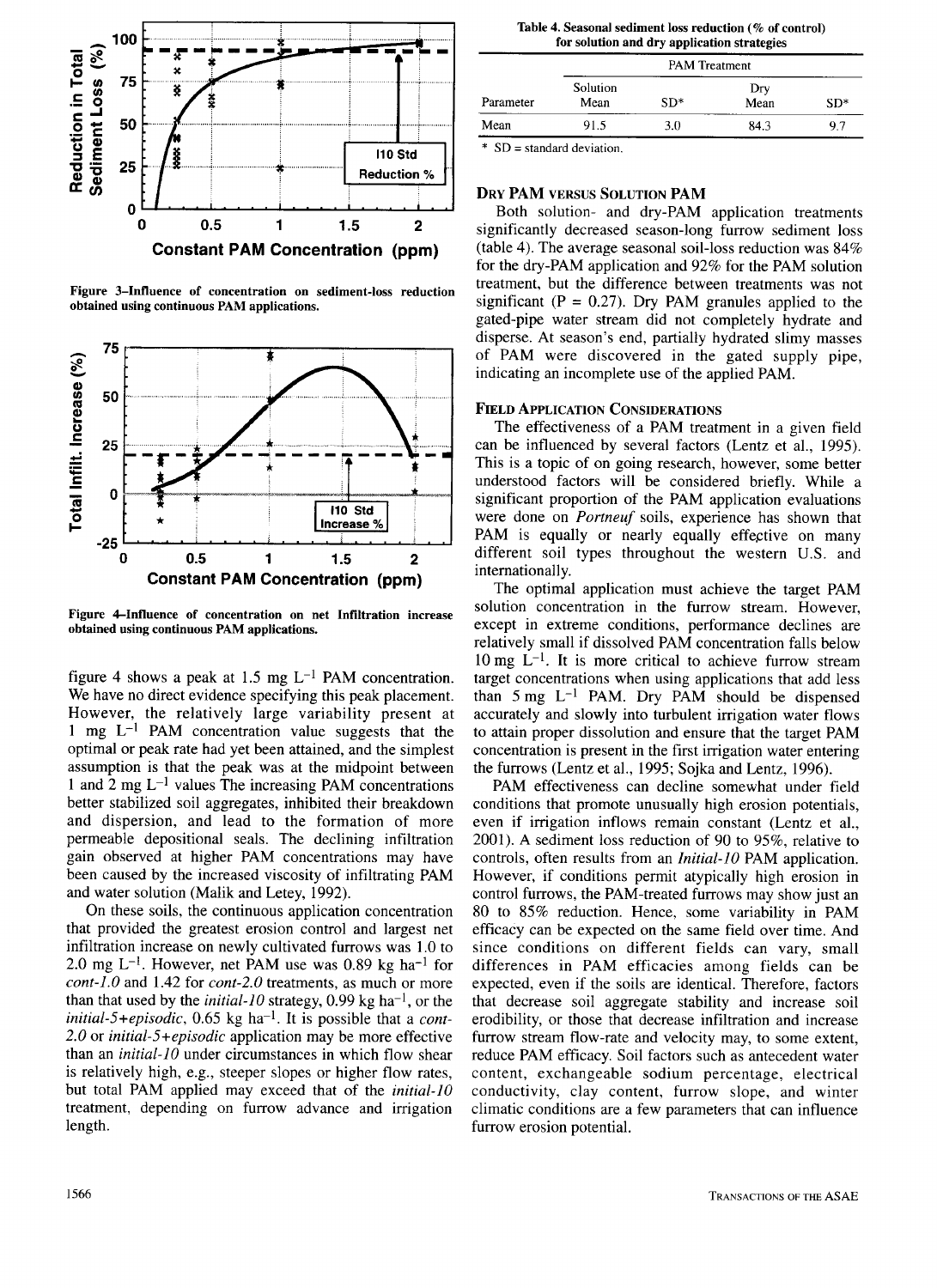

**Figure 3—Influence of concentration on sediment-loss reduction obtained using continuous PAM applications.**



**Figure 4—Influence of concentration on net Infiltration increase obtained using continuous PAM applications.**

figure 4 shows a peak at 1.5 mg  $L^{-1}$  PAM concentration. We have no direct evidence specifying this peak placement. However, the relatively large variability present at 1 mg  $L^{-1}$  PAM concentration value suggests that the optimal or peak rate had yet been attained, and the simplest assumption is that the peak was at the midpoint between 1 and  $2 \text{ mg } L^{-1}$  values The increasing PAM concentrations better stabilized soil aggregates, inhibited their breakdown and dispersion, and lead to the formation of more permeable depositional seals. The declining infiltration gain observed at higher PAM concentrations may have been caused by the increased viscosity of infiltrating PAM and water solution (Malik and Letey, 1992).

On these soils, the continuous application concentration that provided the greatest erosion control and largest net infiltration increase on newly cultivated furrows was 1.0 to 2.0 mg L<sup>-1</sup>. However, net PAM use was 0.89 kg ha<sup>-1</sup> for *cont-1.0* and 1.42 for *cont-2.0* treatments, as much or more than that used by the *initial-10* strategy, 0.99 kg ha<sup>-1</sup>, or the  $initial-5+episodic, 0.65 kg ha<sup>-1</sup>. It is possible that a cont-$ *2.0* or *initial-5+episodic* application may be more effective than an *initial-10* under circumstances in which flow shear is relatively high, e.g., steeper slopes or higher flow rates, but total PAM applied may exceed that of the *initial-10* treatment, depending on furrow advance and irrigation length.

| Parameter | <b>PAM</b> Treatment |       |             |       |  |  |  |  |  |
|-----------|----------------------|-------|-------------|-------|--|--|--|--|--|
|           | Solution<br>Mean     | $SD*$ | Dry<br>Mean | $SD*$ |  |  |  |  |  |
| Mean      | 91.5                 | 3.0   | 84.3        | 9.7   |  |  |  |  |  |

 $SD = standard deviation$ .

#### **DRY PAM VERSUS SOLUTION PAM**

Both solution- and dry-PAM application treatments significantly decreased season-long furrow sediment loss (table 4). The average seasonal soil-loss reduction was 84% for the dry-PAM application and 92% for the PAM solution treatment, but the difference between treatments was not significant ( $P = 0.27$ ). Dry PAM granules applied to the gated-pipe water stream did not completely hydrate and disperse. At season's end, partially hydrated slimy masses of PAM were discovered in the gated supply pipe, indicating an incomplete use of the applied PAM.

#### **FIELD APPLICATION CONSIDERATIONS**

The effectiveness of a PAM treatment in a given field can be influenced by several factors (Lentz et al., 1995). This is a topic of on going research, however, some better understood factors will be considered briefly. While a significant proportion of the PAM application evaluations were done on *Portneuf* soils, experience has shown that PAM is equally or nearly equally effective on many different soil types throughout the western U.S. and internationally.

The optimal application must achieve the target PAM solution concentration in the furrow stream. However, except in extreme conditions, performance declines are relatively small if dissolved PAM concentration falls below  $10 \text{ mg } L^{-1}$ . It is more critical to achieve furrow stream target concentrations when using applications that add less than  $5 \text{ mg } L^{-1}$  PAM. Dry PAM should be dispensed accurately and slowly into turbulent irrigation water flows to attain proper dissolution and ensure that the target PAM concentration is present in the first irrigation water entering the furrows (Lentz et al., 1995; Sojka and Lentz, 1996).

PAM effectiveness can decline somewhat under field conditions that promote unusually high erosion potentials, even if irrigation inflows remain constant (Lentz et al., 2001). A sediment loss reduction of 90 to 95%, relative to controls, often results from an *Initial-10* PAM application. However, if conditions permit atypically high erosion in control furrows, the PAM-treated furrows may show just an 80 to 85% reduction. Hence, some variability in PAM efficacy can be expected on the same field over time. And since conditions on different fields can vary, small differences in PAM efficacies among fields can be expected, even if the soils are identical. Therefore, factors that decrease soil aggregate stability and increase soil erodibility, or those that decrease infiltration and increase furrow stream flow-rate and velocity may, to some extent, reduce PAM efficacy. Soil factors such as antecedent water content, exchangeable sodium percentage, electrical conductivity, clay content, furrow slope, and winter climatic conditions are a few parameters that can influence furrow erosion potential.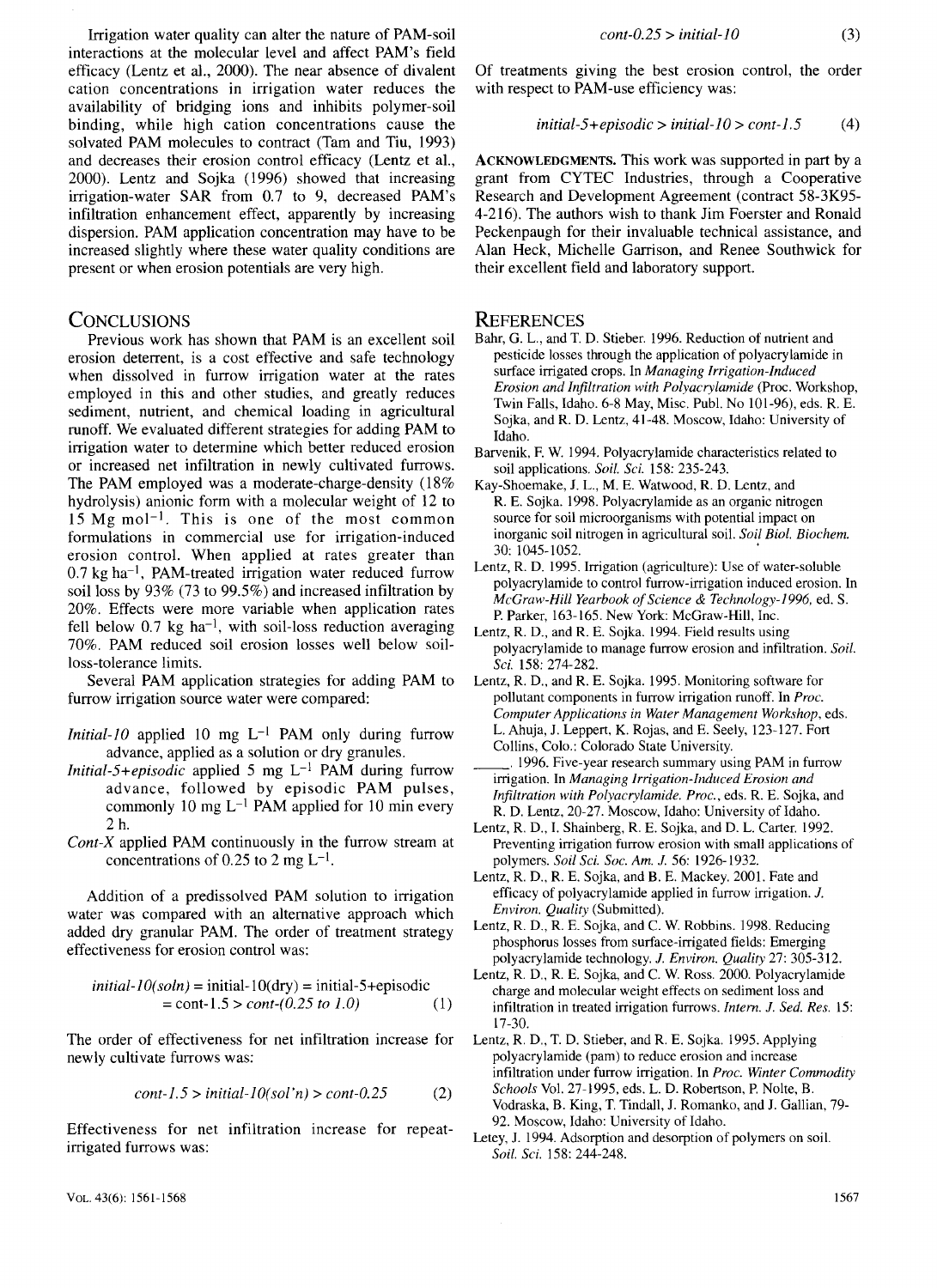Irrigation water quality can alter the nature of PAM-soil interactions at the molecular level and affect PAM's field efficacy (Lentz et al., 2000). The near absence of divalent cation concentrations in irrigation water reduces the availability of bridging ions and inhibits polymer-soil binding, while high cation concentrations cause the solvated PAM molecules to contract (Tam and Tiu, 1993) and decreases their erosion control efficacy (Lentz et al., 2000). Lentz and Sojka (1996) showed that increasing irrigation-water SAR from 0.7 to 9, decreased PAM's infiltration enhancement effect, apparently by increasing dispersion. PAM application concentration may have to be increased slightly where these water quality conditions are present or when erosion potentials are very high.

### **CONCLUSIONS**

Previous work has shown that PAM is an excellent soil erosion deterrent, is a cost effective and safe technology when dissolved in furrow irrigation water at the rates employed in this and other studies, and greatly reduces sediment, nutrient, and chemical loading in agricultural runoff. We evaluated different strategies for adding PAM to irrigation water to determine which better reduced erosion or increased net infiltration in newly cultivated furrows. The PAM employed was a moderate-charge-density (18% hydrolysis) anionic form with a molecular weight of 12 to  $15 \text{ Mg} \text{ mol}^{-1}$ . This is one of the most common formulations in commercial use for irrigation-induced erosion control. When applied at rates greater than  $0.7$  kg ha<sup>-1</sup>, PAM-treated irrigation water reduced furrow soil loss by 93% (73 to 99.5%) and increased infiltration by 20%. Effects were more variable when application rates fell below  $0.7$  kg ha<sup>-1</sup>, with soil-loss reduction averaging 70%. PAM reduced soil erosion losses well below soilloss-tolerance limits.

Several PAM application strategies for adding PAM to furrow irrigation source water were compared:

*Initial-10* applied 10 mg  $L^{-1}$  PAM only during furrow advance, applied as a solution or dry granules.

- *Initial-5+episodic* applied 5 mg L-I PAM during furrow advance, followed by episodic PAM pulses, commonly 10 mg  $L^{-1}$  PAM applied for 10 min every 2 h.
- *Cont-X* applied PAM continuously in the furrow stream at concentrations of 0.25 to 2 mg  $L^{-1}$ .

Addition of a predissolved PAM solution to irrigation water was compared with an alternative approach which added dry granular PAM. The order of treatment strategy effectiveness for erosion control was:

$$
initial-10(soln) = initial-10(dry) = initial-5+episodic
$$
  
= cont-1.5 > cont-(0.25 to 1.0) (1)

The order of effectiveness for net infiltration increase for newly cultivate furrows was:

$$
cont-1.5 > initial-10(sol'n) > cont-0.25
$$
 (2)

Effectiveness for net infiltration increase for repeatirrigated furrows was:

Of treatments giving the best erosion control, the order with respect to PAM-use efficiency was:

$$
initial-5+episodic > initial-10 > cont-1.5
$$
 (4)

**ACKNOWLEDGMENTS.** This work was supported in part by a grant from CYTEC Industries, through a Cooperative Research and Development Agreement (contract 58-3K95- 4-216). The authors wish to thank Jim Foerster and Ronald Peckenpaugh for their invaluable technical assistance, and Alan Heck, Michelle Garrison, and Renee Southwick for their excellent field and laboratory support.

# **REFERENCES**

- Bahr, G. L., and T. D. Stieber. 1996. Reduction of nutrient and pesticide losses through the application of polyacrylamide in surface irrigated crops. In *Managing Irrigation-Induced Erosion and Infiltration with Polyacrylamide* (Proc. Workshop, Twin Falls, Idaho. 6-8 May, Misc. Publ. No 101-96), eds. R. E. Sojka, and R. D. Lentz, 41-48. Moscow, Idaho: University of Idaho.
- Barvenik, F. W. 1994. Polyacrylamide characteristics related to soil applications. *Soil. Sci.* 158: 235-243.
- Kay-Shoemake, J. L., M. E. Watwood, R. D. Lentz, and R. E. Sojka. 1998. Polyacrylamide as an organic nitrogen source for soil microorganisms with potential impact on inorganic soil nitrogen in agricultural soil. *Soil Biol. Biochem.* 30: 1045-1052.
- Lentz, R. D. 1995. Irrigation (agriculture): Use of water-soluble polyacrylamide to control furrow-irrigation induced erosion. In *McGraw-Hill Yearbook of Science & Technology-1996,* ed. S. P. Parker, 163-165. New York: McGraw-Hill, Inc.
- Lentz, R. D., and R. E. Sojka. 1994. Field results using polyacrylamide to manage furrow erosion and infiltration. *Soil. Sci.* 158: 274-282.
- Lentz, R. D., and R. E. Sojka. 1995. Monitoring software for pollutant components in furrow irrigation runoff. In *Proc. Computer Applications in Water Management Workshop,* eds. L. Ahuja, J. Leppert, K. Rojas, and E. Seely, 123-127. Fort Collins, Colo.: Colorado State University.
- 1996. Five-year research summary using PAM in furrow irrigation. In *Managing Irrigation-Induced Erosion and Infiltration with Polyacrylamide. Proc.,* eds. R. E. Sojka, and R. D. Lentz, 20-27. Moscow, Idaho: University of Idaho.
- Lentz, R. D., I. Shainberg, R. E. Sojka, and D. L. Carter. 1992. Preventing irrigation furrow erosion with small applications of polymers. *Soil Sci. Soc. Am. J.* 56: 1926-1932.
- Lentz, R. D., R. E. Sojka, and B. E. Mackey. 2001. Fate and efficacy of polyacrylamide applied in furrow irrigation. *J. Environ. Quality* (Submitted).
- Lentz, R. D., R. E. Sojka, and C. W. Robbins. 1998. Reducing phosphorus losses from surface-irrigated fields: Emerging polyacrylamide technology. *J. Environ. Quality* 27: 305-312.
- Lentz, R. D., R. E. Sojka, and C. W. Ross. 2000. Polyacrylamide charge and molecular weight effects on sediment loss and infiltration in treated irrigation furrows. *Intern. J. Sed. Res.* 15: 17-30.
- Lentz, R. D., T. D. Stieber, and R. E. Sojka. 1995. Applying polyacrylamide (pam) to reduce erosion and increase infiltration under furrow irrigation. In *Proc. Winter Commodity Schools* Vol. 27-1995, eds. L. D. Robertson, P. Nolte, B. Vodraska, B. King, T. Tindall, J. Romanko, and J. Gallian, 79- 92. Moscow, Idaho: University of Idaho.
- Letey, J. 1994. Adsorption and desorption of polymers on soil. *Soil. Sci.* 158: 244-248.